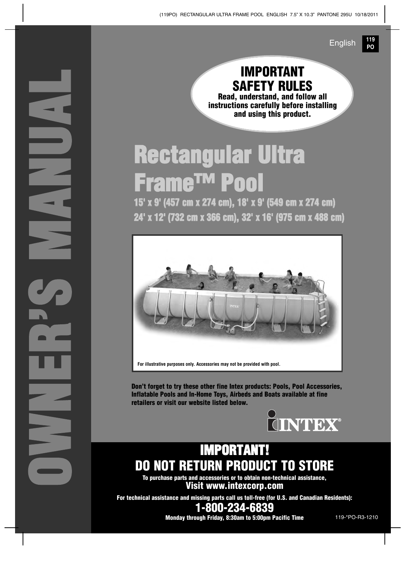**OWNER'S M ANUAL**

**IMPORTANT SAFETY RULES Read, understand, and follow all instructions carefully before installing and using this product.**

**119 PO**

English

# **Rectangular Ultra Frame™ Pool**

**15' x 9' (457 cm x 274 cm), 18' x 9' (549 cm x 274 cm) 24' x 12' (732 cm x 366 cm), 32' x 16' (975 cm x 488 cm)**



**For illustrative purposes only. Accessories may not be provided with pool.**

**Don't forget to try these other fine Intex products: Pools, Pool Accessories, Inflatable Pools and In-Home Toys, Airbeds and Boats available at fine retailers or visit our website listed below.**



# **IMPORTANT! DO NOT RETURN PRODUCT TO STORE**

**To purchase parts and accessories or to obtain non-technical assistance, Visit www.intexcorp.com**

**For technical assistance and missing parts call us toll-free (for U.S. and Canadian Residents): 1-800-234-6839**

**Monday through Friday, 8:30am to 5:00pm Pacific Time** 119-\*PO-R3-1210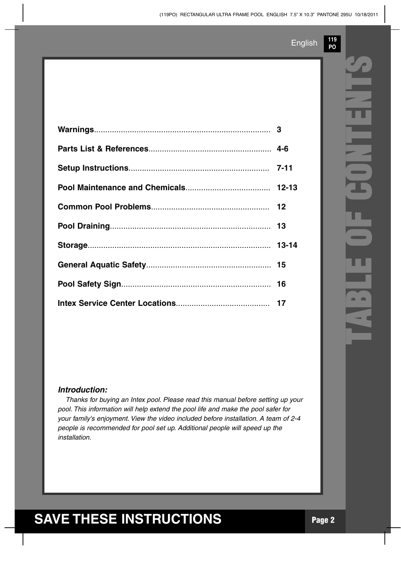**119 PO**

#### *Introduction:*

*Thanks for buying an Intex pool. Please read this manual before setting up your pool. This information will help extend the pool life and make the pool safer for your family's enjoyment. View the video included before installation. A team of 2-4 people is recommended for pool set up. Additional people will speed up the installation.*

# **TABLE O F C ONTENTS**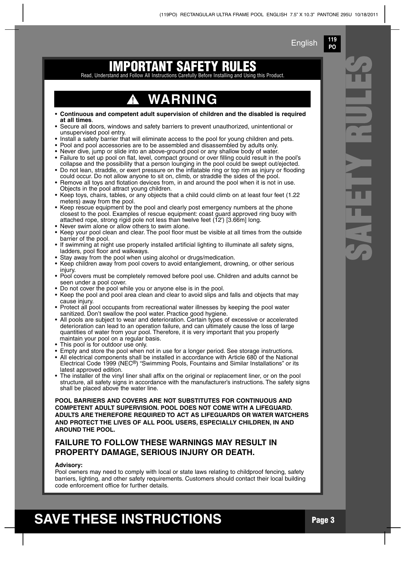**119 PO**

### Read, Understand and Follow All Instructions Carefully Before Installing and Using **IMPORTANT SAFET**

## **WARNING**

- **Continuous and competent adult supervision of children and the disabled is required at all times**.
- Secure all doors, windows and safety barriers to prevent unauthorized, unintentional or unsupervised pool entry.
- Install a safety barrier that will eliminate access to the pool for young children and pets.
- Pool and pool accessories are to be assembled and disassembled by adults only.
- Never dive, jump or slide into an above-ground pool or any shallow body of water.
- Failure to set up pool on flat, level, compact ground or over filling could result in the pool's collapse and the possibility that a person lounging in the pool could be swept out/ejected. • Do not lean, straddle, or exert pressure on the inflatable ring or top rim as injury or flooding
- could occur. Do not allow anyone to sit on, climb, or straddle the sides of the pool. • Remove all toys and flotation devices from, in and around the pool when it is not in use.
- Objects in the pool attract young children.
- Keep toys, chairs, tables, or any objects that a child could climb on at least four feet (1.22 meters) away from the pool.
- Keep rescue equipment by the pool and clearly post emergency numbers at the phone closest to the pool. Examples of rescue equipment: coast guard approved ring buoy with attached rope, strong rigid pole not less than twelve feet (12') [3.66m] long. • Never swim alone or allow others to swim alone.
- Keep your pool clean and clear. The pool floor must be visible at all times from the outside barrier of the pool.
- If swimming at night use properly installed artificial lighting to illuminate all safety signs, ladders, pool floor and walkways.
- Stay away from the pool when using alcohol or drugs/medication.
- Keep children away from pool covers to avoid entanglement, drowning, or other serious injury.
- Pool covers must be completely removed before pool use. Children and adults cannot be seen under a pool cover.
- Do not cover the pool while you or anyone else is in the pool.
- Keep the pool and pool area clean and clear to avoid slips and falls and objects that may cause injury.
- Protect all pool occupants from recreational water illnesses by keeping the pool water sanitized. Don't swallow the pool water. Practice good hygiene.
- All pools are subject to wear and deterioration. Certain types of excessive or accelerated deterioration can lead to an operation failure, and can ultimately cause the loss of large quantities of water from your pool. Therefore, it is very important that you properly maintain your pool on a regular basis.
- This pool is for outdoor use only.
- Empty and store the pool when not in use for a longer period. See storage instructions.
- All electrical components shall be installed in accordance with Article 680 of the National Electrical Code 1999 (NEC®) "Swimming Pools, Fountains and Similar Installations" or its latest approved edition.
- The installer of the vinyl liner shall affix on the original or replacement liner, or on the pool structure, all safety signs in accordance with the manufacturer's instructions. The safety signs shall be placed above the water line.

**POOL BARRIERS AND COVERS ARE NOT SUBSTITUTES FOR CONTINUOUS AND COMPETENT ADULT SUPERVISION. POOL DOES NOT COME WITH A LIFEGUARD. ADULTS ARE THEREFORE REQUIRED TO ACT AS LIFEGUARDS OR WATER WATCHERS AND PROTECT THE LIVES OF ALL POOL USERS, ESPECIALLY CHILDREN, IN AND AROUND THE POOL.**

### **FAILURE TO FOLLOW THESE WARNINGS MAY RESULT IN PROPERTY DAMAGE, SERIOUS INJURY OR DEATH.**

#### **Advisory:**

Pool owners may need to comply with local or state laws relating to childproof fencing, safety barriers, lighting, and other safety requirements. Customers should contact their local building code enforcement office for further details.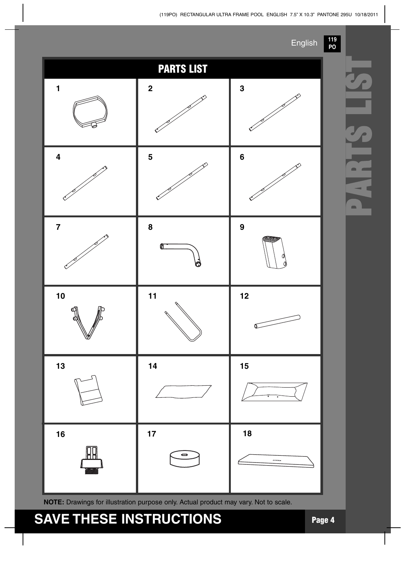#### (119PO) RECTANGULAR ULTRA FRAME POOL ENGLISH 7.5" X 10.3" PANTONE 295U 10/18/2011



**PARTS L S**

# **SAVE THESE INSTRUCTIONS Page <sup>4</sup>**

**NOTE:** Drawings for illustration purpose only. Actual product may vary. Not to scale.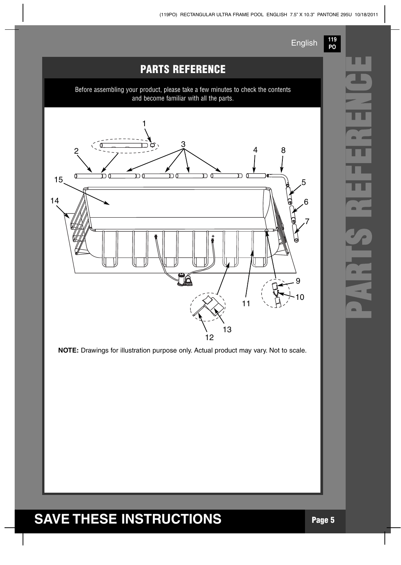

**119**



**P**

**A**

**R**

**T**

**S R**

**E**

**F**

**E**

**R**

**E**

**N**

**C**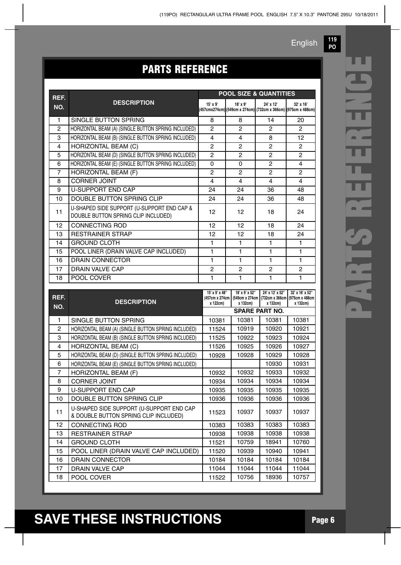**PO**

# **PARTS** REFERENCE

| REF.           |                                                                                   | <b>POOL SIZE &amp; QUANTITIES</b>            |                                               |                                                                              |                                                               |
|----------------|-----------------------------------------------------------------------------------|----------------------------------------------|-----------------------------------------------|------------------------------------------------------------------------------|---------------------------------------------------------------|
| NO.            | <b>DESCRIPTION</b>                                                                | 15' x 9'                                     | 18' x 9'                                      | 24' x 12'<br>(457cmx274cm) (549cm x 274cm)  (732cm x 366cm)  (975cm x 488cm) | 32' x 16'                                                     |
| 1              | SINGLE BUTTON SPRING                                                              | 8                                            | 8                                             | 14                                                                           | 20                                                            |
| $\overline{c}$ | HORIZONTAL BEAM (A) (SINGLE BUTTON SPRING INCLUDED)                               |                                              | $\overline{c}$                                | $\overline{c}$                                                               | $\overline{2}$                                                |
| 3              | HORIZONTAL BEAM (B) (SINGLE BUTTON SPRING INCLUDED)                               |                                              | 4                                             | 8                                                                            | 12                                                            |
| 4              | <b>HORIZONTAL BEAM (C)</b>                                                        | $\overline{c}$                               | $\overline{c}$                                | $\overline{c}$                                                               | $\overline{c}$                                                |
| 5              | HORIZONTAL BEAM (D) (SINGLE BUTTON SPRING INCLUDED)                               | $\overline{c}$                               | $\overline{2}$                                | $\overline{c}$                                                               | $\overline{c}$                                                |
| 6              | HORIZONTAL BEAM (E) (SINGLE BUTTON SPRING INCLUDED)                               | $\mathbf 0$                                  | 0                                             | $\overline{c}$                                                               | 4                                                             |
| 7              | HORIZONTAL BEAM (F)                                                               | $\overline{c}$                               | $\overline{c}$                                | 2                                                                            | $\overline{c}$                                                |
| 8              | <b>CORNER JOINT</b>                                                               | 4<br>4                                       |                                               | 4                                                                            | 4                                                             |
| 9              | <b>U-SUPPORT END CAP</b>                                                          | 24                                           | 24                                            | 36                                                                           | 48                                                            |
| 10             | DOUBLE BUTTON SPRING CLIP                                                         | 24                                           | 24                                            | 36                                                                           | 48                                                            |
| 11             | U-SHAPED SIDE SUPPORT (U-SUPPORT END CAP &<br>DOUBLE BUTTON SPRING CLIP INCLUDED) | 12<br>12                                     |                                               | 18                                                                           | 24                                                            |
| 12             | <b>CONNECTING ROD</b>                                                             | 12                                           | 12                                            | 18                                                                           | 24                                                            |
| 13             | <b>RESTRAINER STRAP</b>                                                           | 12                                           | 12                                            | 18                                                                           | 24                                                            |
| 14             | <b>GROUND CLOTH</b>                                                               | 1                                            | 1                                             | 1                                                                            | 1                                                             |
| 15             | POOL LINER (DRAIN VALVE CAP INCLUDED)                                             | 1                                            | 1                                             | 1                                                                            | 1                                                             |
| 16             | <b>DRAIN CONNECTOR</b>                                                            | 1                                            | $\mathbf{1}$                                  | 1                                                                            | 1                                                             |
| 17             | <b>DRAIN VALVE CAP</b>                                                            | $\overline{c}$                               | 2                                             | 2                                                                            | 2                                                             |
| 18             | POOL COVER                                                                        | 1                                            | $\mathbf{1}$                                  | 1                                                                            | $\mathbf{1}$                                                  |
|                |                                                                                   |                                              |                                               |                                                                              |                                                               |
| REF.<br>NO.    | <b>DESCRIPTION</b>                                                                | 15' x 9' x 48"<br>(457cm x 274cm<br>x 122cm) | 18' x 9' x 52"<br>(549cm x 274cm)<br>x 132cm) | 24' x 12' x 52"<br>x 132cm)                                                  | 32' x 16' x 52"<br>(732cm x 366cm (975cm x 488cm)<br>x 132cm) |
|                |                                                                                   |                                              |                                               | <b>SPARE PART NO.</b>                                                        |                                                               |
| 1              | SINGLE BUTTON SPRING                                                              | 10381                                        | 10381                                         | 10381                                                                        | 10381                                                         |
| $\overline{c}$ | HORIZONTAL BEAM (A) (SINGLE BUTTON SPRING INCLUDED)                               | 11524                                        | 10919                                         | 10920                                                                        | 10921                                                         |
| 3              | HORIZONTAL BEAM (B) (SINGLE BUTTON SPRING INCLUDED)                               | 11525                                        | 10922                                         | 10923                                                                        | 10924                                                         |
| 4              | HORIZONTAL BEAM (C)                                                               | 11526                                        | 10925                                         | 10926                                                                        | 10927                                                         |
| 5              | HORIZONTAL BEAM (D) (SINGLE BUTTON SPRING INCLUDED)                               | 10928                                        | 10928                                         | 10929                                                                        | 10928                                                         |
| 6              | HORIZONTAL BEAM (E) (SINGLE BUTTON SPRING INCLUDED)                               |                                              |                                               | 10930                                                                        | 10931                                                         |
| $\overline{7}$ | HORIZONTAL BEAM (F)                                                               | 10932                                        | 10932                                         | 10933                                                                        | 10932                                                         |
| 8              | <b>CORNER JOINT</b>                                                               | 10934                                        | 10934                                         | 10934                                                                        | 10934                                                         |
| 9              | <b>U-SUPPORT END CAP</b>                                                          | 10935                                        | 10935                                         | 10935                                                                        | 10935                                                         |
| 10             | DOUBLE BUTTON SPRING CLIP                                                         | 10936                                        | 10936                                         | 10936                                                                        | 10936                                                         |
| 11             | U-SHAPED SIDE SUPPORT (U-SUPPORT END CAP<br>& DOUBLE BUTTON SPRING CLIP INCLUDED) | 11523                                        | 10937                                         | 10937                                                                        | 10937                                                         |
| 12             | CONNECTING ROD                                                                    | 10383                                        | 10383                                         | 10383                                                                        | 10383                                                         |
| 13             | <b>RESTRAINER STRAP</b>                                                           | 10938                                        | 10938                                         | 10938                                                                        | 10938                                                         |
| 14             | <b>GROUND CLOTH</b>                                                               | 11521                                        | 10759                                         | 18941                                                                        | 10760                                                         |
| 15             | POOL LINER (DRAIN VALVE CAP INCLUDED)                                             | 11520                                        | 10939                                         | 10940                                                                        | 10941                                                         |
| 16             | DRAIN CONNECTOR                                                                   | 10184                                        | 10184                                         | 10184                                                                        | 10184                                                         |
| 17<br>18       | DRAIN VALVE CAP<br>POOL COVER                                                     | 11044<br>11522                               | 11044<br>10756                                | 11044<br>18936                                                               | 11044<br>10757                                                |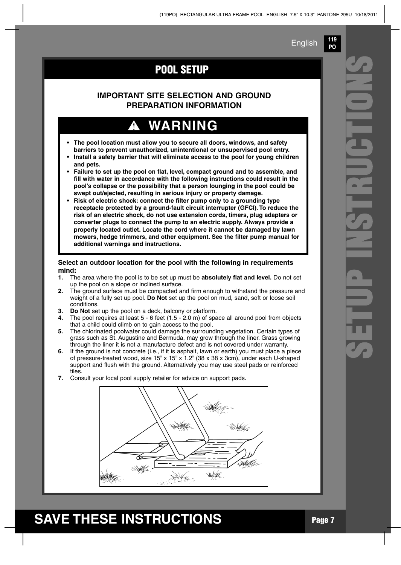**119 PO**

## **POOL SETUP**

### **IMPORTANT SITE SELECTION AND GROUND PREPARATION INFORMATION**

# **WARNING**

- **• The pool location must allow you to secure all doors, windows, and safety barriers to prevent unauthorized, unintentional or unsupervised pool entry.**
- **• Install a safety barrier that will eliminate access to the pool for young children and pets.**
- **• Failure to set up the pool on flat, level, compact ground and to assemble, and fill with water in accordance with the following instructions could result in the pool's collapse or the possibility that a person lounging in the pool could be swept out/ejected, resulting in serious injury or property damage.**
- **• Risk of electric shock: connect the filter pump only to a grounding type receptacle protected by a ground-fault circuit interrupter (GFCI). To reduce the risk of an electric shock, do not use extension cords, timers, plug adapters or converter plugs to connect the pump to an electric supply. Always provide a properly located outlet. Locate the cord where it cannot be damaged by lawn mowers, hedge trimmers, and other equipment. See the filter pump manual for additional warnings and instructions.**

#### **Select an outdoor location for the pool with the following in requirements mind:**

- **1.** The area where the pool is to be set up must be **absolutely flat and level.** Do not set up the pool on a slope or inclined surface.
- **2.** The ground surface must be compacted and firm enough to withstand the pressure and weight of a fully set up pool. **Do Not** set up the pool on mud, sand, soft or loose soil conditions.
- **3. Do Not** set up the pool on a deck, balcony or platform.
- **4.** The pool requires at least 5 6 feet (1.5 2.0 m) of space all around pool from objects that a child could climb on to gain access to the pool.
- **5.** The chlorinated poolwater could damage the surrounding vegetation. Certain types of grass such as St. Augustine and Bermuda, may grow through the liner. Grass growing through the liner it is not a manufacture defect and is not covered under warranty.
- **6.** If the ground is not concrete (i.e., if it is asphalt, lawn or earth) you must place a piece of pressure-treated wood, size 15" x 15" x 1.2" (38 x 38 x 3cm), under each U-shaped support and flush with the ground. Alternatively you may use steel pads or reinforced tiles.
- **7.** Consult your local pool supply retailer for advice on support pads.

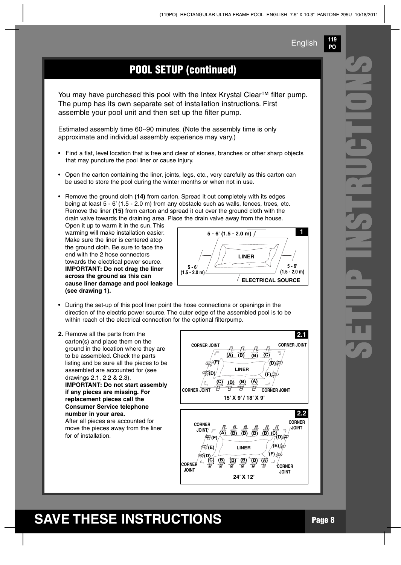**119 PO**

## **POOL SETUP (continued)**

You may have purchased this pool with the Intex Krystal Clear™ filter pump. The pump has its own separate set of installation instructions. First assemble your pool unit and then set up the filter pump.

Estimated assembly time 60~90 minutes. (Note the assembly time is only approximate and individual assembly experience may vary.)

- Find a flat, level location that is free and clear of stones, branches or other sharp objects that may puncture the pool liner or cause injury.
- Open the carton containing the liner, joints, legs, etc., very carefully as this carton can be used to store the pool during the winter months or when not in use.
- Remove the ground cloth **(14)** from carton. Spread it out completely with its edges being at least 5 - 6' (1.5 - 2.0 m) from any obstacle such as walls, fences, trees, etc. Remove the liner **(15)** from carton and spread it out over the ground cloth with the drain valve towards the draining area. Place the drain valve away from the house.

Open it up to warm it in the sun. This warming will make installation easier. Make sure the liner is centered atop the ground cloth. Be sure to face the end with the 2 hose connectors towards the electrical power source. **IMPORTANT: Do not drag the liner across the ground as this can cause liner damage and pool leakage (see drawing 1).**



- During the set-up of this pool liner point the hose connections or openings in the direction of the electric power source. The outer edge of the assembled pool is to be within reach of the electrical connection for the optional filterpump.
- **2.** Remove all the parts from the carton(s) and place them on the ground in the location where they are to be assembled. Check the parts listing and be sure all the pieces to be assembled are accounted for (see drawings 2.1, 2.2 & 2.3). **IMPORTANT: Do not start assembly if any pieces are missing. For replacement pieces call the Consumer Service telephone number in your area.** After all pieces are accounted for move the pieces away from the liner for of installation.

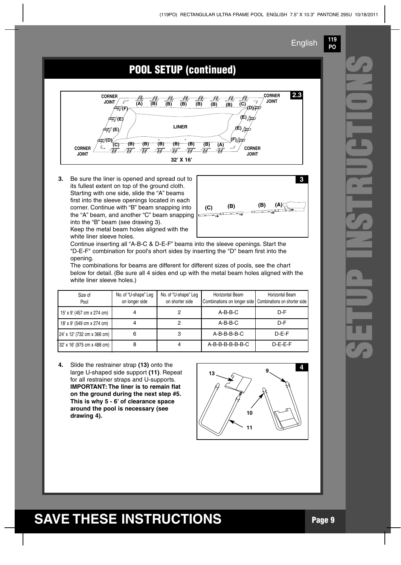**119 PO**



**3.** Be sure the liner is opened and spread out to its fullest extent on top of the ground cloth. Starting with one side, slide the "A" beams first into the sleeve openings located in each corner. Continue with "B" beam snapping into the "A" beam, and another "C" beam snapping into the "B" beam (see drawing 3).

Keep the metal beam holes aligned with the white liner sleeve holes.



Continue inserting all "A-B-C & D-E-F" beams into the sleeve openings. Start the "D-E-F" combination for pool's short sides by inserting the "D" beam first into the opening.

The combinations for beams are different for different sizes of pools, see the chart below for detail. (Be sure all 4 sides end up with the metal beam holes aligned with the white liner sleeve holes.)

| Size of<br>Pool             | No. of "U-shape" Leg<br>on longer side | No. of "U-shape" Leg<br>on shorter side | Horizontal Beam<br>Combinations on longer side Combinations on shorter side | Horizontal Beam |
|-----------------------------|----------------------------------------|-----------------------------------------|-----------------------------------------------------------------------------|-----------------|
| 15' x 9' (457 cm x 274 cm)  |                                        |                                         | $A-B-B-C$                                                                   | $D-F$           |
| 18' x 9' (549 cm x 274 cm)  |                                        |                                         | $A-B-B-C$                                                                   | $D-F$           |
| 24' x 12' (732 cm x 366 cm) | 6                                      | 3                                       | $A-B-B-B-B-C$                                                               | $D-E-F$         |
| 32' x 16' (975 cm x 488 cm) | 8                                      |                                         | A-B-B-B-B-B-B-C                                                             | $D-E-E-F$       |

**4.** Slide the restrainer strap **(13)** onto the large U-shaped side support **(11)**. Repeat for all restrainer straps and U-supports. **IMPORTANT: The liner is to remain flat on the ground during the next step #5. This is why 5 - 6' of clearance space around the pool is necessary (see drawing 4).**



# **SETUP I NSTRUCTON**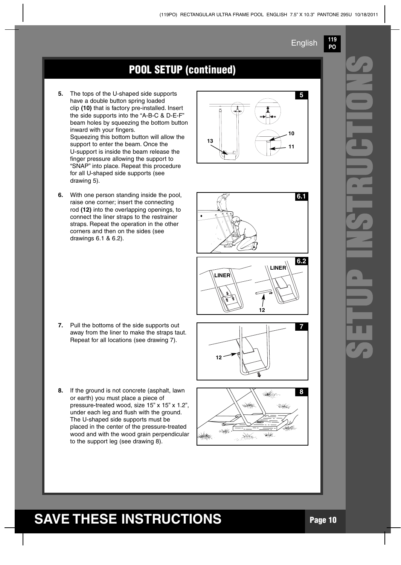**119 PO**

### **POOL SETUP** (continued)

- **5.** The tops of the U-shaped side supports have a double button spring loaded clip **(10)** that is factory pre-installed. Insert the side supports into the "A-B-C & D-E-F" beam holes by squeezing the bottom button inward with your fingers. Squeezing this bottom button will allow the support to enter the beam. Once the U-support is inside the beam release the finger pressure allowing the support to "SNAP" into place. Repeat this procedure for all U-shaped side supports (see drawing 5).
- **6.** With one person standing inside the pool, raise one corner; insert the connecting rod **(12)** into the overlapping openings, to connect the liner straps to the restrainer straps. Repeat the operation in the other corners and then on the sides (see drawings 6.1 & 6.2).

- **7.** Pull the bottoms of the side supports out away from the liner to make the straps taut. Repeat for all locations (see drawing 7).
- **8.** If the ground is not concrete (asphalt, lawn or earth) you must place a piece of pressure-treated wood, size 15" x 15" x 1.2", under each leg and flush with the ground. The U-shaped side supports must be placed in the center of the pressure-treated wood and with the wood grain perpendicular to the support leg (see drawing 8).











# **SETUP I NSTRUCTON**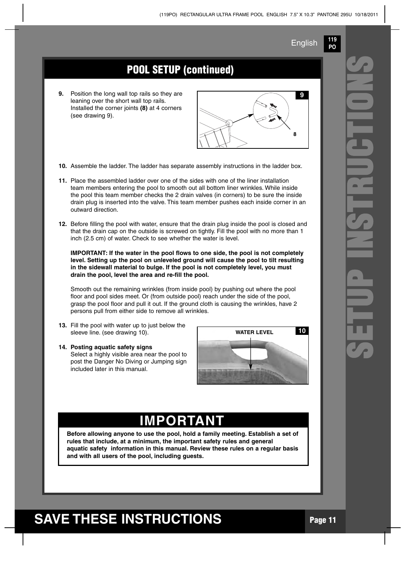**119 PO**

## **POOL SETUP (continued)**

**9.** Position the long wall top rails so they are leaning over the short wall top rails. Installed the corner joints **(8)** at 4 corners (see drawing 9).



- **10.** Assemble the ladder. The ladder has separate assembly instructions in the ladder box.
- **11.** Place the assembled ladder over one of the sides with one of the liner installation team members entering the pool to smooth out all bottom liner wrinkles. While inside the pool this team member checks the 2 drain valves (in corners) to be sure the inside drain plug is inserted into the valve. This team member pushes each inside corner in an outward direction.
- **12.** Before filling the pool with water, ensure that the drain plug inside the pool is closed and that the drain cap on the outside is screwed on tightly. Fill the pool with no more than 1 inch (2.5 cm) of water. Check to see whether the water is level.

**IMPORTANT: If the water in the pool flows to one side, the pool is not completely level. Setting up the pool on unleveled ground will cause the pool to tilt resulting in the sidewall material to bulge. If the pool is not completely level, you must drain the pool, level the area and re-fill the pool.**

Smooth out the remaining wrinkles (from inside pool) by pushing out where the pool floor and pool sides meet. Or (from outside pool) reach under the side of the pool, grasp the pool floor and pull it out. If the ground cloth is causing the wrinkles, have 2 persons pull from either side to remove all wrinkles.

**13.** Fill the pool with water up to just below the sleeve line. (see drawing 10).

#### **14. Posting aquatic safety signs**

Select a highly visible area near the pool to post the Danger No Diving or Jumping sign included later in this manual.



## **IMPORTANT**

**Before allowing anyone to use the pool, hold a family meeting. Establish a set of rules that include, at a minimum, the important safety rules and general aquatic safety information in this manual. Review these rules on a regular basis and with all users of the pool, including guests.**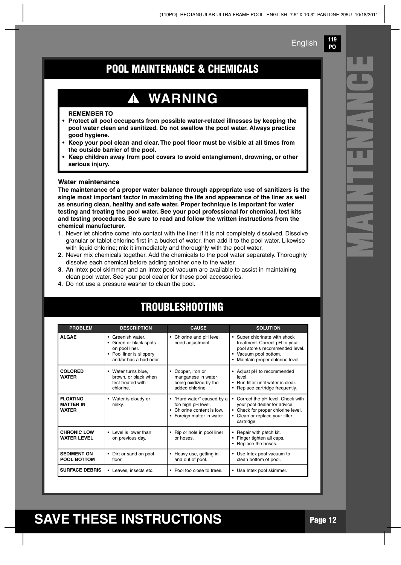**119 PO**

**M**

**A**

**N**

**T**

**E**

**N**

**A**

**N**

**C**

**E**

## **POOL MAINTENANCE & CHEMICALS**

# **WARNING**

T

#### **REMEMBER TO**

- **• Protect all pool occupants from possible water-related illnesses by keeping the pool water clean and sanitized. Do not swallow the pool water. Always practice good hygiene.**
- **• Keep your pool clean and clear. The pool floor must be visible at all times from the outside barrier of the pool.**
- **• Keep children away from pool covers to avoid entanglement, drowning, or other serious injury.**

#### **Water maintenance**

**The maintenance of a proper water balance through appropriate use of sanitizers is the single most important factor in maximizing the life and appearance of the liner as well as ensuring clean, healthy and safe water. Proper technique is important for water testing and treating the pool water. See your pool professional for chemical, test kits and testing procedures. Be sure to read and follow the written instructions from the chemical manufacturer.**

- **1**. Never let chlorine come into contact with the liner if it is not completely dissolved. Dissolve granular or tablet chlorine first in a bucket of water, then add it to the pool water. Likewise with liquid chlorine; mix it immediately and thoroughly with the pool water.
- **2**. Never mix chemicals together. Add the chemicals to the pool water separately. Thoroughly dissolve each chemical before adding another one to the water.
- **3**. An Intex pool skimmer and an Intex pool vacuum are available to assist in maintaining clean pool water. See your pool dealer for these pool accessories.
- **4**. Do not use a pressure washer to clean the pool.

| <b>PROBLEM</b>                                      | <b>DESCRIPTION</b>                                                                                                             | <b>CAUSE</b>                                                                                                     | <b>SOLUTION</b>                                                                                                                                             |
|-----------------------------------------------------|--------------------------------------------------------------------------------------------------------------------------------|------------------------------------------------------------------------------------------------------------------|-------------------------------------------------------------------------------------------------------------------------------------------------------------|
| <b>ALGAE</b>                                        | Greenish water<br>$\bullet$<br>Green or black spots<br>on pool liner.<br>Pool liner is slippery<br>٠<br>and/or has a bad odor. | Chlorine and pH level<br>٠<br>need adjustment.                                                                   | • Super chlorinate with shock<br>treatment. Correct pH to your<br>pool store's recommended level.<br>Vacuum pool bottom.<br>Maintain proper chlorine level. |
| <b>COLORED</b><br><b>WATER</b>                      | Water turns blue.<br>brown, or black when<br>first treated with<br>chlorine.                                                   | Copper, iron or<br>manganese in water<br>being oxidized by the<br>added chlorine.                                | Adjust pH to recommended<br>level<br>Run filter until water is clear<br>Replace cartridge frequently.                                                       |
| <b>FLOATING</b><br><b>MATTER IN</b><br><b>WATER</b> | Water is cloudy or<br>٠<br>milky.                                                                                              | "Hard water" caused by a<br>too high pH level.<br>Chlorine content is low.<br>٠<br>Foreign matter in water.<br>٠ | Correct the pH level. Check with<br>your pool dealer for advice.<br>Check for proper chlorine level.<br>• Clean or replace your filter<br>cartridge.        |
| <b>CHRONIC LOW</b><br><b>WATER LEVEL</b>            | Level is lower than<br>on previous day.                                                                                        | Rip or hole in pool liner<br>٠<br>or hoses.                                                                      | Repair with patch kit.<br>Finger tighten all caps.<br>Replace the hoses.                                                                                    |
| <b>SEDIMENT ON</b><br><b>POOL BOTTOM</b>            | Dirt or sand on pool<br>floor.                                                                                                 | Heavy use, getting in<br>and out of pool.                                                                        | • Use Intex pool vacuum to<br>clean bottom of pool.                                                                                                         |
| <b>SURFACE DEBRIS</b>                               | • Leaves, insects etc.                                                                                                         | Pool too close to trees.<br>٠                                                                                    | • Use Intex pool skimmer.                                                                                                                                   |

## **TROUBLESHOOTING**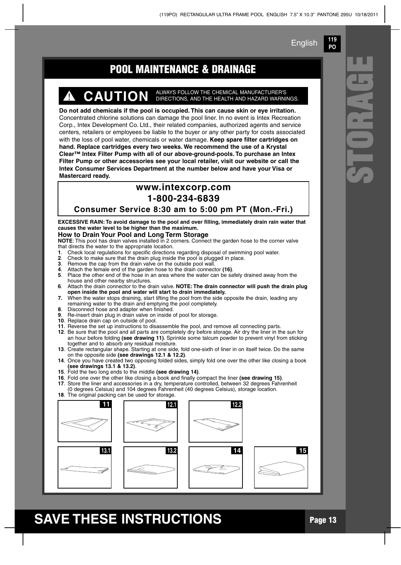**119 PO**

**S**

**T**

**O**

**R**

**A**

**G**

## **POOL MAINTENANCE & DRAINAGE E**

# **CAUTION** ALWAYS FOLLOW THE CHEMICAL MANUFACTURER'S DIRECTIONS, AND THE HEALTH AND HAZARD WARNINGS.

**Do not add chemicals if the pool is occupied. This can cause skin or eye irritation.** Concentrated chlorine solutions can damage the pool liner. In no event is Intex Recreation Corp., Intex Development Co. Ltd., their related companies, authorized agents and service centers, retailers or employees be liable to the buyer or any other party for costs associated with the loss of pool water, chemicals or water damage. **Keep spare filter cartridges on hand. Replace cartridges every two weeks. We recommend the use of a Krystal Clear™ Intex Filter Pump with all of our above-ground-pools. To purchase an Intex Filter Pump or other accessories see your local retailer, visit our website or call the Intex Consumer Services Department at the number below and have your Visa or Mastercard ready.**

### **www.intexcorp.com 1-800-234-6839**

**Consumer Service 8:30 am to 5:00 pm PT (Mon.-Fri.)**

**EXCESSIVE RAIN: To avoid damage to the pool and over filling, immediately drain rain water that causes the water level to be higher than the maximum.**

#### **How to Drain Your Pool and Long Term Storage**

**NOTE**: This pool has drain valves installed in 2 corners. Connect the garden hose to the corner valve that directs the water to the appropriate location.

- **1**. Check local regulations for specific directions regarding disposal of swimming pool water.
- **2.** Check to make sure that the drain plug inside the pool is plugged in place.<br>**3.** Remove the cap from the drain valve on the outside pool wall.
- **3**. Remove the cap from the drain valve on the outside pool wall.
- **4**. Attach the female end of the garden hose to the drain connector **(16)**.
- **5**. Place the other end of the hose in an area where the water can be safely drained away from the house and other nearby structures.
- **6**. Attach the drain connector to the drain valve. **NOTE: The drain connector will push the drain plug open inside the pool and water will start to drain immediately.**
- **7.** When the water stops draining, start lifting the pool from the side opposite the drain, leading any remaining water to the drain and emptying the pool completely.
- **8**. Disconnect hose and adapter when finished.
- **9**. Re-insert drain plug in drain valve on inside of pool for storage.
- **10**. Replace drain cap on outside of pool.
- **11**. Reverse the set up instructions to disassemble the pool, and remove all connecting parts. **12**. Be sure that the pool and all parts are completely dry before storage. Air dry the liner in the sun for an hour before folding **(see drawing 11)**. Sprinkle some talcum powder to prevent vinyl from sticking
- together and to absorb any residual moisture. **13**. Create rectangular shape. Starting at one side, fold one-sixth of liner in on itself twice. Do the same on the opposite side **(see drawings 12.1 & 12.2)**.
- **14**. Once you have created two opposing folded sides, simply fold one over the other like closing a book **(see drawings 13.1 & 13.2)**.
- **15**. Fold the two long ends to the middle **(see drawing 14)**.
- **16**. Fold one over the other like closing a book and finally compact the liner **(see drawing 15)**.
- **17**. Store the liner and accessories in a dry, temperature controlled, between 32 degrees Fahrenheit
- (0 degrees Celsius) and 104 degrees Fahrenheit (40 degrees Celsius), storage location.

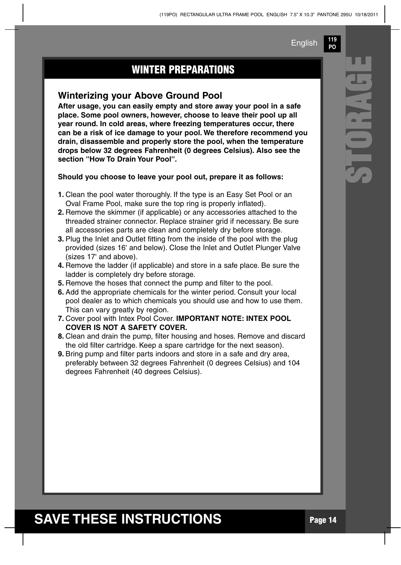**119 PO**

**S**

**T**

**O**

**R**

**A**

**G**

## **WINTER PREPARATIONS**

### **Winterizing your Above Ground Pool**

**After usage, you can easily empty and store away your pool in a safe place. Some pool owners, however, choose to leave their pool up all year round. In cold areas, where freezing temperatures occur, there can be a risk of ice damage to your pool. We therefore recommend you drain, disassemble and properly store the pool, when the temperature drops below 32 degrees Fahrenheit (0 degrees Celsius). Also see the section ''How To Drain Your Pool''.**

**Should you choose to leave your pool out, prepare it as follows:**

- **1.** Clean the pool water thoroughly. If the type is an Easy Set Pool or an Oval Frame Pool, make sure the top ring is properly inflated).
- **2.** Remove the skimmer (if applicable) or any accessories attached to the threaded strainer connector. Replace strainer grid if necessary. Be sure all accessories parts are clean and completely dry before storage.
- **3.** Plug the Inlet and Outlet fitting from the inside of the pool with the plug provided (sizes 16' and below). Close the Inlet and Outlet Plunger Valve (sizes 17' and above).
- **4.** Remove the ladder (if applicable) and store in a safe place. Be sure the ladder is completely dry before storage.
- **5.** Remove the hoses that connect the pump and filter to the pool.
- **6.** Add the appropriate chemicals for the winter period. Consult your local pool dealer as to which chemicals you should use and how to use them. This can vary greatly by region.
- **7.** Cover pool with Intex Pool Cover. **IMPORTANT NOTE: INTEX POOL COVER IS NOT A SAFETY COVER.**
- **8.** Clean and drain the pump, filter housing and hoses. Remove and discard the old filter cartridge. Keep a spare cartridge for the next season).
- **9.** Bring pump and filter parts indoors and store in a safe and dry area, preferably between 32 degrees Fahrenheit (0 degrees Celsius) and 104 degrees Fahrenheit (40 degrees Celsius).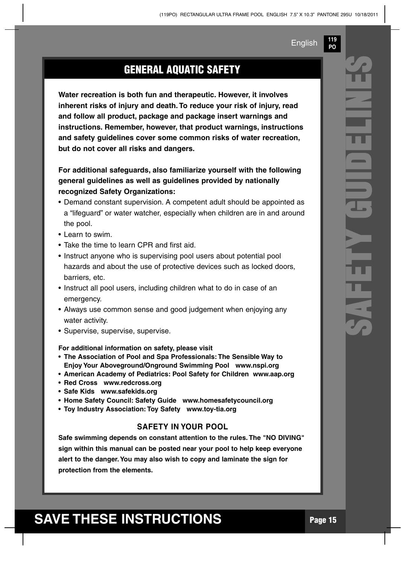**119 PO**

## **GENERAL AQUATIC SAFETY**

**Water recreation is both fun and therapeutic. However, it involves inherent risks of injury and death. To reduce your risk of injury, read and follow all product, package and package insert warnings and instructions. Remember, however, that product warnings, instructions and safety guidelines cover some common risks of water recreation, but do not cover all risks and dangers.**

**For additional safeguards, also familiarize yourself with the following general guidelines as well as guidelines provided by nationally recognized Safety Organizations:**

- Demand constant supervision. A competent adult should be appointed as a "lifeguard" or water watcher, especially when children are in and around the pool.
- Learn to swim.
- Take the time to learn CPR and first aid.
- Instruct anyone who is supervising pool users about potential pool hazards and about the use of protective devices such as locked doors, barriers, etc.
- Instruct all pool users, including children what to do in case of an emergency.
- Always use common sense and good judgement when enjoying any water activity.
- Supervise, supervise, supervise.

**For additional information on safety, please visit**

- **• The Association of Pool and Spa Professionals: The Sensible Way to Enjoy Your Aboveground/Onground Swimming Pool www.nspi.org**
- **• American Academy of Pediatrics: Pool Safety for Children www.aap.org**
- **• Red Cross www.redcross.org**
- **• Safe Kids www.safekids.org**
- **• Home Safety Council: Safety Guide www.homesafetycouncil.org**
- **• Toy Industry Association: Toy Safety www.toy-tia.org**

#### **SAFETY IN YOUR POOL**

**Safe swimming depends on constant attention to the rules. The "NO DIVING" sign within this manual can be posted near your pool to help keep everyone alert to the danger.You may also wish to copy and laminate the sign for protection from the elements.**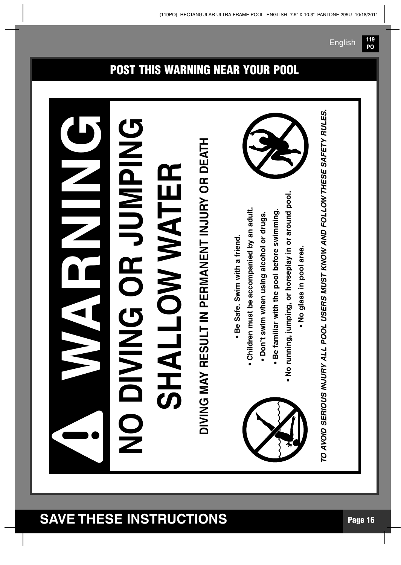#### **WARNNGNO D I V I N G O R J U M P I N G SH A L L O W WAT E R DIVIN G M AY R E** <u>(၇</u> **D LT IN P E R M A N E N T IN J U R Y O R D E AT H • B e** <u>(</u> **afe. S wim with a frie n d. • C hildre n m u st b e a c c o m p a nie d b y a n a d ult. • D o n't s wim w h e n u sin g alc o h ol or dru g s. • B e fa miliar with th e p o ol b efore s wim min g. • N o ru n nin g, ju m pin g, or h ors e pla y in or aro u n** <u>ত</u> **p o ol. • N o gla s s in p o ol are a.** *VOID S ERIO US INJ UR Y A L L POOL US ER S M US T KNO W A ND FOL L O* ≨ *THES E SA FE T Y R UL ES.* **!**

## **POST THIS WARNING NEAR YOUR POOL**

**PO**

*TO A*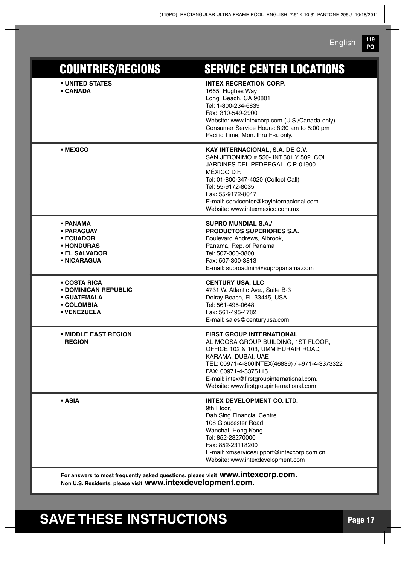**119 PO** English

| <b>COUNTRIES/REGIONS</b>                                                                 | <b>SERVICE CENTER LOCATIONS</b>                                                                                                                                                                                                                                                                        |
|------------------------------------------------------------------------------------------|--------------------------------------------------------------------------------------------------------------------------------------------------------------------------------------------------------------------------------------------------------------------------------------------------------|
| • UNITED STATES<br>• CANADA                                                              | <b>INTEX RECREATION CORP.</b><br>1665 Hughes Way<br>Long Beach, CA 90801<br>Tel: 1-800-234-6839<br>Fax: 310-549-2900<br>Website: www.intexcorp.com (U.S./Canada only)<br>Consumer Service Hours: 8:30 am to 5:00 pm<br>Pacific Time, Mon. thru FRI. only.                                              |
| • MEXICO                                                                                 | KAY INTERNACIONAL, S.A. DE C.V.<br>SAN JERONIMO # 550- INT.501 Y 502, COL.<br>JARDINES DEL PEDREGAL, C.P. 01900<br>MÉXICO D.F.<br>Tel: 01-800-347-4020 (Collect Call)<br>Tel: 55-9172-8035<br>Fax: 55-9172-8047<br>E-mail: servicenter@kayinternacional.com<br>Website: www.intexmexico.com.mx         |
| • PANAMA<br>• PARAGUAY<br><b>• ECUADOR</b><br>• HONDURAS<br>• EL SALVADOR<br>• NICARAGUA | <b>SUPRO MUNDIAL S.A./</b><br>PRODUCTOS SUPERIORES S.A.<br>Boulevard Andrews, Albrook,<br>Panama, Rep. of Panama<br>Tel: 507-300-3800<br>Fax: 507-300-3813<br>E-mail: suproadmin@supropanama.com                                                                                                       |
| • COSTA RICA<br>• DOMINICAN REPUBLIC<br>• GUATEMALA<br>• COLOMBIA<br>• VENEZUELA         | <b>CENTURY USA, LLC</b><br>4731 W. Atlantic Ave., Suite B-3<br>Delray Beach, FL 33445, USA<br>Tel: 561-495-0648<br>Fax: 561-495-4782<br>E-mail: sales@centuryusa.com                                                                                                                                   |
| • MIDDLE EAST REGION<br><b>REGION</b>                                                    | <b>FIRST GROUP INTERNATIONAL</b><br>AL MOOSA GROUP BUILDING, 1ST FLOOR,<br>OFFICE 102 & 103, UMM HURAIR ROAD,<br>KARAMA, DUBAI, UAE<br>TEL: 00971-4-800INTEX(46839) / +971-4-3373322<br>FAX: 00971-4-3375115<br>E-mail: intex@firstgroupinternational.com.<br>Website: www.firstgroupinternational.com |
| • ASIA                                                                                   | <b>INTEX DEVELOPMENT CO. LTD.</b><br>9th Floor,<br>Dah Sing Financial Centre<br>108 Gloucester Road,<br>Wanchai, Hong Kong<br>Tel: 852-28270000<br>Fax: 852-23118200<br>E-mail: xmservicesupport@intexcorp.com.cn<br>Website: www.intexdevelopment.com                                                 |
|                                                                                          | $uninii$ inteveera een                                                                                                                                                                                                                                                                                 |

**For answers to most frequently asked questions, please visit www.intexcorp.com. Non U.S. Residents, please visit www.intexdevelopment.com.**